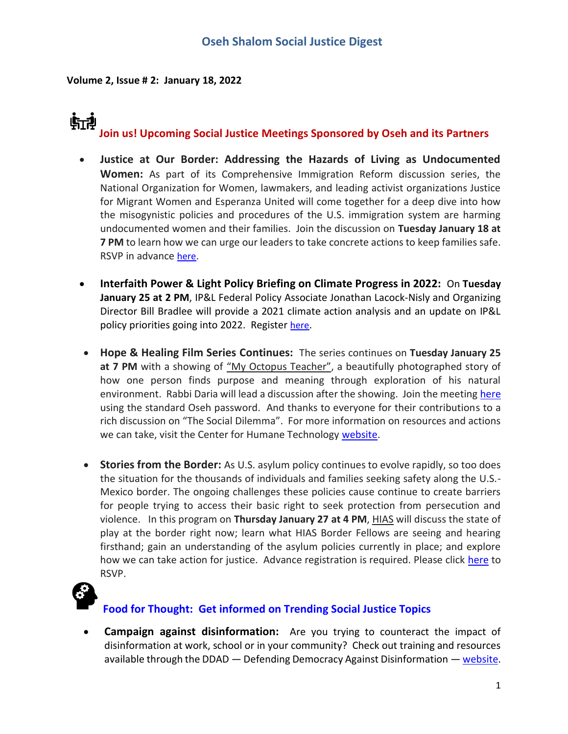**Volume 2, Issue # 2: January 18, 2022**

# 航神 **Join us! Upcoming Social Justice Meetings Sponsored by Oseh and its Partners**

- **Justice at Our Border: Addressing the Hazards of Living as Undocumented Women:** As part of its Comprehensive Immigration Reform discussion series, the National Organization for Women, lawmakers, and leading activist organizations Justice for Migrant Women and Esperanza United will come together for a deep dive into how the misogynistic policies and procedures of the U.S. immigration system are harming undocumented women and their families. Join the discussion on **Tuesday January 18 at 7 PM** to learn how we can urge our leaders to take concrete actions to keep families safe. RSVP in advance [here](https://us02web.zoom.us/webinar/register/WN_4T6SzT_RRWO_5HA8GDnTAw).
- **Interfaith Power & Light Policy Briefing on Climate Progress in 2022:** On **Tuesday January 25 at 2 PM**, IP&L Federal Policy Associate Jonathan Lacock-Nisly and Organizing Director Bill Bradlee will provide a 2021 climate action analysis and an update on IP&L policy priorities going into 2022. Register [here](https://interfaithpowerandlight.salsalabs.org/2022policybriefing/index.html?eType=EmailBlastContent&eId=1f0a2e6c-b433-4ce6-be54-dab42a1ff6a8).
- **Hope & Healing Film Series Continues:** The series continues on **Tuesday January 25**  at 7 PM with a showing of "My Octopus Teacher", a beautifully photographed story of how one person finds purpose and meaning through exploration of his natural environment. Rabbi Daria will lead a discussion after the showing. Join the meeting [here](https://zoom.us/j/98746071509) using the standard Oseh password. And thanks to everyone for their contributions to a rich discussion on "The Social Dilemma". For more information on resources and actions we can take, visit the Center for Humane Technology [website.](https://www.thesocialdilemma.com/take-action/)
- **Stories from the Border:** As U.S. asylum policy continues to evolve rapidly, so too does the situation for the thousands of individuals and families seeking safety along the U.S.- Mexico border. The ongoing challenges these policies cause continue to create barriers for people trying to access their basic right to seek protection from persecution and violence. In this program on **Thursday January 27 at 4 PM**, HIAS will discuss the state of play at the border right now; learn what HIAS Border Fellows are seeing and hearing firsthand; gain an understanding of the asylum policies currently in place; and explore how we can take action for justice. Advance registration is required. Please click [here](http://act.hias.org/page/email/click/10027/1131264?email=Ov2djMiiEsRzxpToHN%2BEZt7cBTh3KwkR&campid=qwZNcRK69amZkArzVWMSmA==) to RSVP.



### **Food for Thought: Get informed on Trending Social Justice Topics**

• **Campaign against disinformation:** Are you trying to counteract the impact of disinformation at work, school or in your community? Check out training and resources available through the DDAD — Defending Democracy Against Disinformation — [website.](https://www.stopdisinformation.org/)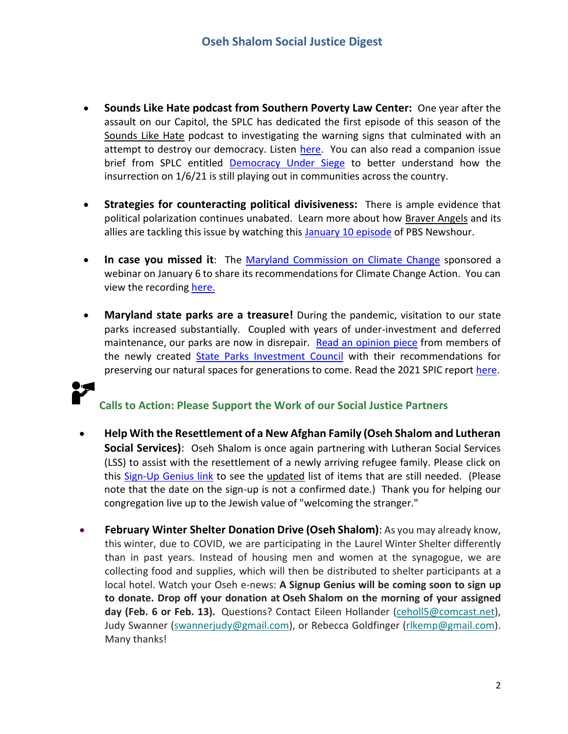- **Sounds Like Hate podcast from Southern Poverty Law Center:** One year after the assault on our Capitol, the SPLC has dedicated the first episode of this season of the Sounds Like Hate podcast to investigating the warning signs that culminated with an attempt to destroy our democracy. Listen [here.](https://sounds-like-hate.captivate.fm/listen) You can also read a companion issue brief from SPLC entitled [Democracy Under Siege](https://www.splcenter.org/news/2022/01/07/democracy-under-siege-extremist-insurgency-continues-year-after-jan-6-attack) to better understand how the insurrection on 1/6/21 is still playing out in communities across the country.
- **Strategies for counteracting political divisiveness:** There is ample evidence that political polarization continues unabated. Learn more about how Braver Angels and its allies are tackling this issue by watching thi[s January 10 episode](https://u1584542.ct.sendgrid.net/ss/c/atcYNHk4Eh2YdGnwBh-YDOJPR4Z5lDybbWIPhQSOR8F1ZvoivDUOLVF7zx2nc3PCdQYpr024SBpnhL512qeUrWkV7oHJK_gt-nx1zz9_GGschptiCsYDOad4Nya-v87GvZkqjz3kGsMPJ6L5Q6FEjcQEkZqPiHrDM_gJwfQmLix1yZaiGmtfevR09ccwJCkqQyRfWlWy1kBB9R78tKowNBXzuLJUhacopSumPp2ef4nXdnezQWZzRNsxs3ZKbu-dJOR0AlvY3xnhtMsc2zJtAfvQIPOqLnruVWBsyx55PPodtOt1kQ_Sp1etk8Gjo9UtJOYAlPLlj83up4ajs71_Zg/3ir/qWKvb2DGTC2u-C6g6eGNkQ/h6/wYui8o0BLu4KbFL3CItWXomaPMpf6_hlLDTDmPGAxyw) of PBS Newshour.
- **In case you missed it**: The [Maryland Commission on Climate Change](https://mde.maryland.gov/programs/Air/ClimateChange/MCCC/Pages/index.aspx) sponsored a webinar on January 6 to share its recommendations for Climate Change Action. You can view the recording [here.](https://www.youtube.com/watch?v=pCu-erihFDw&t=2s)
- **Maryland state parks are a treasure!** During the pandemic, visitation to our state parks increased substantially. Coupled with years of under-investment and deferred maintenance, our parks are now in disrepair. [Read an opinion piece](https://www.marylandmatters.org/2022/01/07/gov-glendening-del-luedtke-and-sen-elfreth-a-once-in-a-generation-opportunity-for-our-state-parks/) from members of the newly created [State Parks Investment Council](https://msa.maryland.gov/msa/mdmanual/07leg/html/com/sstatepark.html) with their recommendations for preserving our natural spaces for generations to come. Read the 2021 SPIC report [here.](https://mgaleg.maryland.gov/pubs/commtfworkgrp/2021%20-%20Final%20Report%20of%20State%20Park%20Investment%20Commission.pdf)

## **Calls to Action: Please Support the Work of our Social Justice Partners**

- **Help With the Resettlement of a New Afghan Family (Oseh Shalom and Lutheran Social Services)**: Oseh Shalom is once again partnering with Lutheran Social Services (LSS) to assist with the resettlement of a newly arriving refugee family. Please click on this [Sign-Up Genius link](https://r20.rs6.net/tn.jsp?f=001KITAIuzp6zc70LPZK_Th15nS2amwskpkirMEl1wFUM4IRyClbHxhNLlAGbDt89hFlQGjcVid_tqEUIfboGYCmap4TVXKpL6gfCQvBM4BmKuF2oJ2Js_KLA43zQytI03VRlq35ZdM-zjwB9NAAABRtd8BYNbxRKTcY_5Wg5ld2bSqTuFyTCkWdw==&c=ciyeqZD4Z873w6TDpgfogCk2Ss4L_uA_Rwz3qHGET5qwOLvq1-FaVg==&ch=_6VEaOvn8thqr-7V43R6NNlKlsAEtbEu39fXOucUmoLC4D2-lCCiBg==) to see the updated list of items that are still needed. (Please note that the date on the sign-up is not a confirmed date.) Thank you for helping our congregation live up to the Jewish value of "welcoming the stranger."
- **February Winter Shelter Donation Drive (Oseh Shalom)**: As you may already know, this winter, due to COVID, we are participating in the Laurel Winter Shelter differently than in past years. Instead of housing men and women at the synagogue, we are collecting food and supplies, which will then be distributed to shelter participants at a local hotel. Watch your Oseh e-news: **A Signup Genius will be coming soon to sign up to donate. Drop off your donation at Oseh Shalom on the morning of your assigned day (Feb. 6 or Feb. 13).** Questions? Contact Eileen Hollander [\(ceholl5@comcast.net\)](mailto:ceholl5@comcast.net), Judy Swanner [\(swannerjudy@gmail.com\)](mailto:swannerjudy@gmail.com), or Rebecca Goldfinger [\(rlkemp@gmail.com\)](mailto:rlkemp@gmail.com). Many thanks!